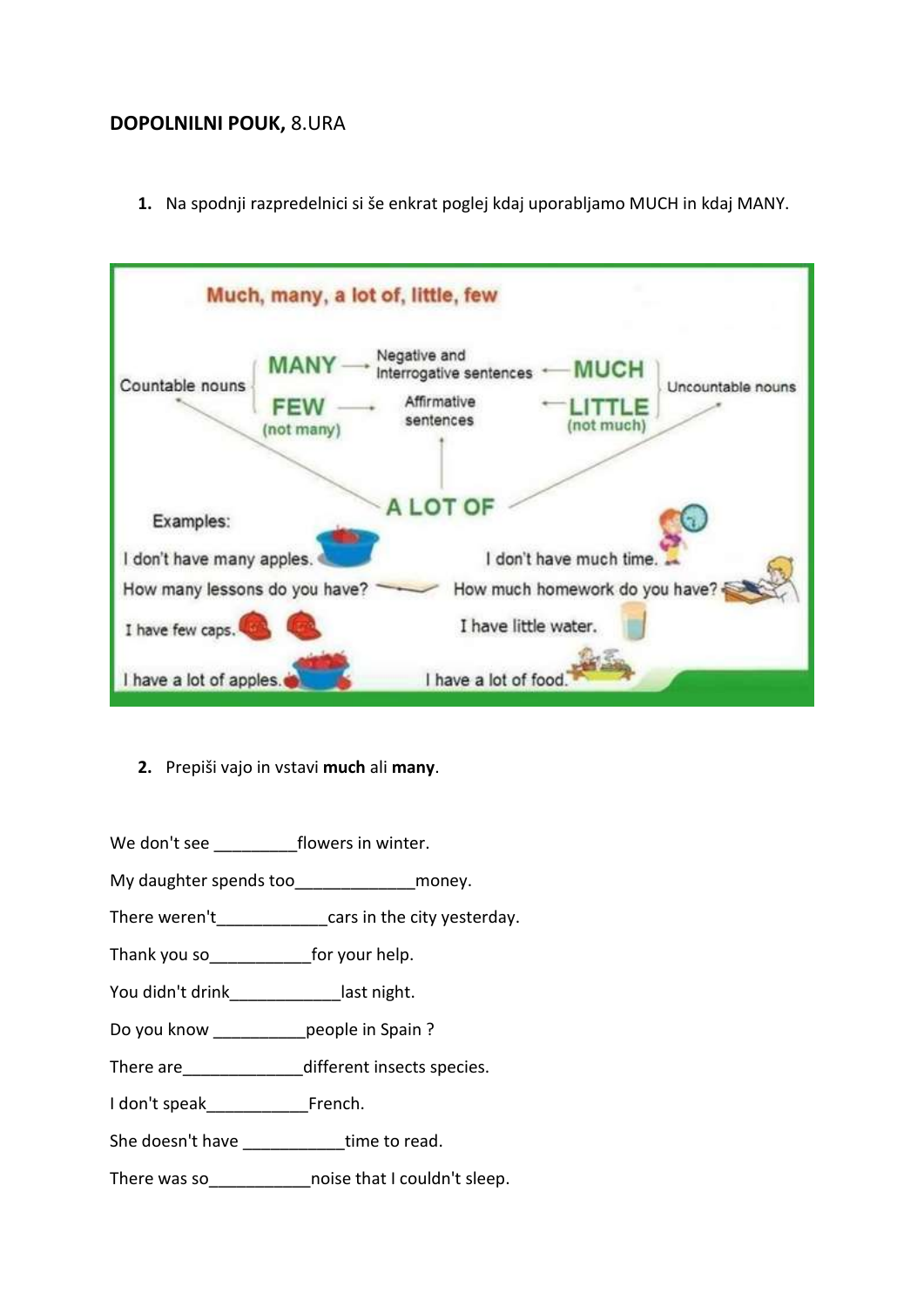## **DOPOLNILNI POUK,** 8.URA

**1.** Na spodnji razpredelnici si še enkrat poglej kdaj uporabljamo MUCH in kdaj MANY.



**2.** Prepiši vajo in vstavi **much** ali **many**.

We don't see **the flowers in winter**.

- My daughter spends too\_\_\_\_\_\_\_\_\_\_\_\_\_\_\_\_\_money.
- There weren't example are started in the city yesterday.
- Thank you so\_\_\_\_\_\_\_\_\_\_\_for your help.
- You didn't drink\_\_\_\_\_\_\_\_\_\_\_\_\_\_\_last night.
- Do you know \_\_\_\_\_\_\_\_\_\_\_people in Spain ?
- There are\_\_\_\_\_\_\_\_\_\_\_\_\_different insects species.
- I don't speak\_\_\_\_\_\_\_\_\_\_\_French.
- She doesn't have \_\_\_\_\_\_\_\_\_\_\_time to read.

There was so There was so moise that I couldn't sleep.